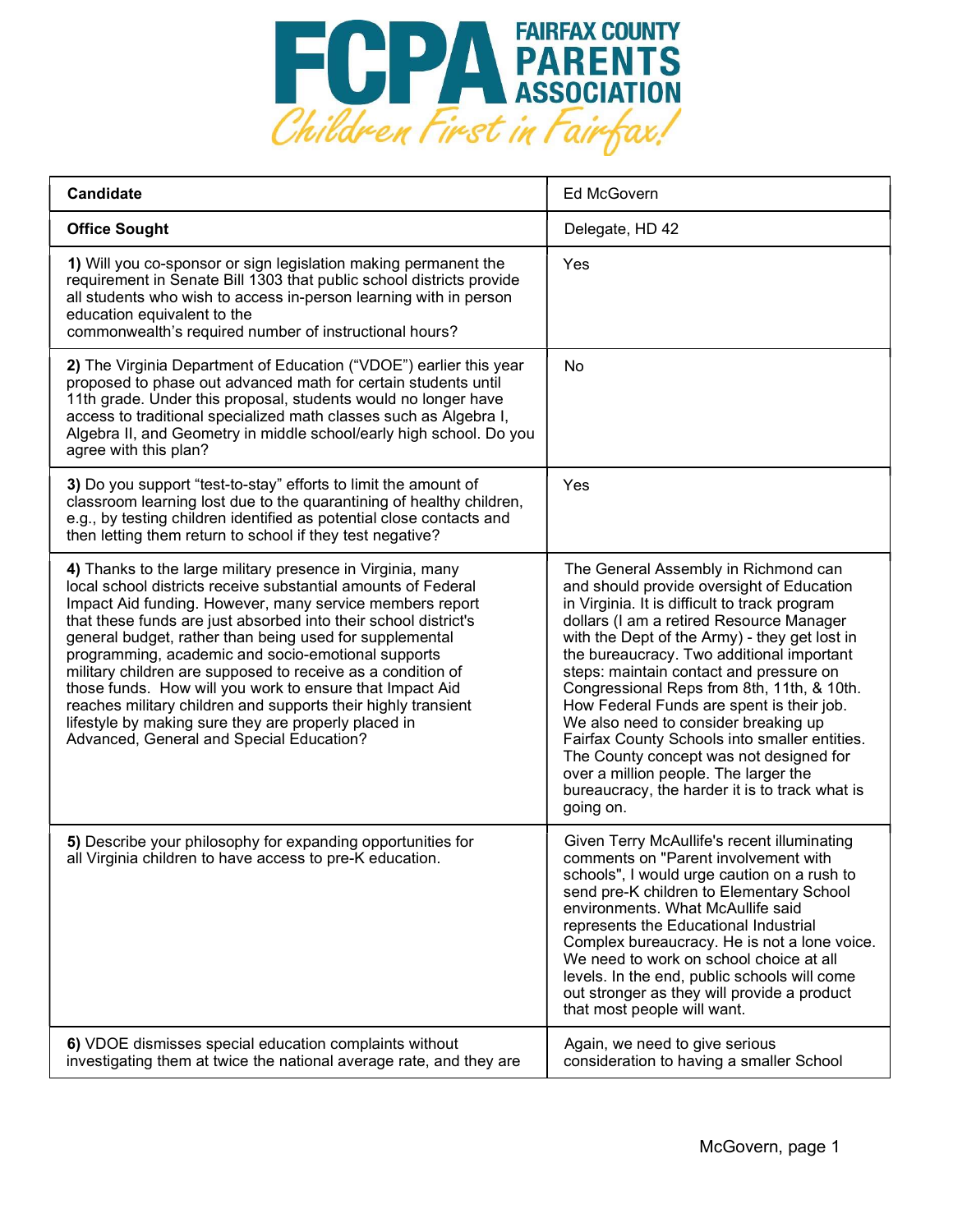

| <b>Candidate</b>                                                                                                                                                                                                                                                                                                                                                                                                                                                                                                                                                                                                                                                            | <b>Ed McGovern</b>                                                                                                                                                                                                                                                                                                                                                                                                                                                                                                                                                                                                                                             |
|-----------------------------------------------------------------------------------------------------------------------------------------------------------------------------------------------------------------------------------------------------------------------------------------------------------------------------------------------------------------------------------------------------------------------------------------------------------------------------------------------------------------------------------------------------------------------------------------------------------------------------------------------------------------------------|----------------------------------------------------------------------------------------------------------------------------------------------------------------------------------------------------------------------------------------------------------------------------------------------------------------------------------------------------------------------------------------------------------------------------------------------------------------------------------------------------------------------------------------------------------------------------------------------------------------------------------------------------------------|
| <b>Office Sought</b>                                                                                                                                                                                                                                                                                                                                                                                                                                                                                                                                                                                                                                                        | Delegate, HD 42                                                                                                                                                                                                                                                                                                                                                                                                                                                                                                                                                                                                                                                |
| 1) Will you co-sponsor or sign legislation making permanent the<br>requirement in Senate Bill 1303 that public school districts provide<br>all students who wish to access in-person learning with in person<br>education equivalent to the<br>commonwealth's required number of instructional hours?                                                                                                                                                                                                                                                                                                                                                                       | Yes                                                                                                                                                                                                                                                                                                                                                                                                                                                                                                                                                                                                                                                            |
| 2) The Virginia Department of Education ("VDOE") earlier this year<br>proposed to phase out advanced math for certain students until<br>11th grade. Under this proposal, students would no longer have<br>access to traditional specialized math classes such as Algebra I,<br>Algebra II, and Geometry in middle school/early high school. Do you<br>agree with this plan?                                                                                                                                                                                                                                                                                                 | No                                                                                                                                                                                                                                                                                                                                                                                                                                                                                                                                                                                                                                                             |
| 3) Do you support "test-to-stay" efforts to limit the amount of<br>classroom learning lost due to the quarantining of healthy children,<br>e.g., by testing children identified as potential close contacts and<br>then letting them return to school if they test negative?                                                                                                                                                                                                                                                                                                                                                                                                | Yes                                                                                                                                                                                                                                                                                                                                                                                                                                                                                                                                                                                                                                                            |
| 4) Thanks to the large military presence in Virginia, many<br>local school districts receive substantial amounts of Federal<br>Impact Aid funding. However, many service members report<br>that these funds are just absorbed into their school district's<br>general budget, rather than being used for supplemental<br>programming, academic and socio-emotional supports<br>military children are supposed to receive as a condition of<br>those funds. How will you work to ensure that Impact Aid<br>reaches military children and supports their highly transient<br>lifestyle by making sure they are properly placed in<br>Advanced, General and Special Education? | The General Assembly in Richmond can<br>and should provide oversight of Education<br>in Virginia. It is difficult to track program<br>dollars (I am a retired Resource Manager<br>with the Dept of the Army) - they get lost in<br>the bureaucracy. Two additional important<br>steps: maintain contact and pressure on<br>Congressional Reps from 8th, 11th, & 10th.<br>How Federal Funds are spent is their job.<br>We also need to consider breaking up<br>Fairfax County Schools into smaller entities.<br>The County concept was not designed for<br>over a million people. The larger the<br>bureaucracy, the harder it is to track what is<br>going on. |
| 5) Describe your philosophy for expanding opportunities for<br>all Virginia children to have access to pre-K education.                                                                                                                                                                                                                                                                                                                                                                                                                                                                                                                                                     | Given Terry McAullife's recent illuminating<br>comments on "Parent involvement with<br>schools", I would urge caution on a rush to<br>send pre-K children to Elementary School<br>environments. What McAullife said<br>represents the Educational Industrial<br>Complex bureaucracy. He is not a lone voice.<br>We need to work on school choice at all<br>levels. In the end, public schools will come<br>out stronger as they will provide a product<br>that most people will want.                                                                                                                                                                          |
| 6) VDOE dismisses special education complaints without<br>investigating them at twice the national average rate, and they are                                                                                                                                                                                                                                                                                                                                                                                                                                                                                                                                               | Again, we need to give serious<br>consideration to having a smaller School                                                                                                                                                                                                                                                                                                                                                                                                                                                                                                                                                                                     |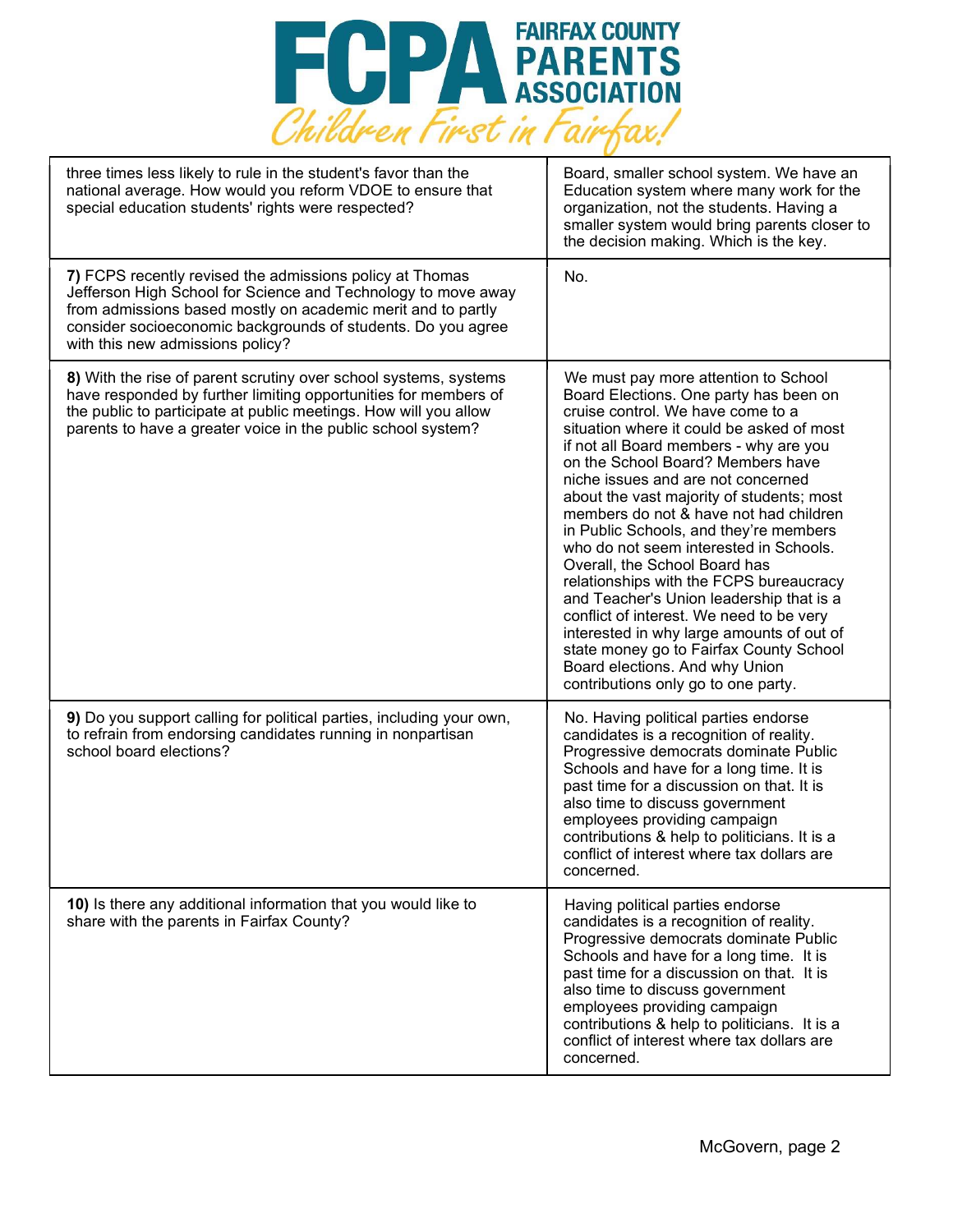

| three times less likely to rule in the student's favor than the<br>national average. How would you reform VDOE to ensure that<br>special education students' rights were respected?                                                                                                           | Board, smaller school system. We have an<br>Education system where many work for the<br>organization, not the students. Having a<br>smaller system would bring parents closer to<br>the decision making. Which is the key.                                                                                                                                                                                                                                                                                                                                                                                                                                                                                                                                                                            |
|-----------------------------------------------------------------------------------------------------------------------------------------------------------------------------------------------------------------------------------------------------------------------------------------------|-------------------------------------------------------------------------------------------------------------------------------------------------------------------------------------------------------------------------------------------------------------------------------------------------------------------------------------------------------------------------------------------------------------------------------------------------------------------------------------------------------------------------------------------------------------------------------------------------------------------------------------------------------------------------------------------------------------------------------------------------------------------------------------------------------|
| 7) FCPS recently revised the admissions policy at Thomas<br>Jefferson High School for Science and Technology to move away<br>from admissions based mostly on academic merit and to partly<br>consider socioeconomic backgrounds of students. Do you agree<br>with this new admissions policy? | No.                                                                                                                                                                                                                                                                                                                                                                                                                                                                                                                                                                                                                                                                                                                                                                                                   |
| 8) With the rise of parent scrutiny over school systems, systems<br>have responded by further limiting opportunities for members of<br>the public to participate at public meetings. How will you allow<br>parents to have a greater voice in the public school system?                       | We must pay more attention to School<br>Board Elections. One party has been on<br>cruise control. We have come to a<br>situation where it could be asked of most<br>if not all Board members - why are you<br>on the School Board? Members have<br>niche issues and are not concerned<br>about the vast majority of students; most<br>members do not & have not had children<br>in Public Schools, and they're members<br>who do not seem interested in Schools.<br>Overall, the School Board has<br>relationships with the FCPS bureaucracy<br>and Teacher's Union leadership that is a<br>conflict of interest. We need to be very<br>interested in why large amounts of out of<br>state money go to Fairfax County School<br>Board elections. And why Union<br>contributions only go to one party. |
| 9) Do you support calling for political parties, including your own,<br>to refrain from endorsing candidates running in nonpartisan<br>school board elections?                                                                                                                                | No. Having political parties endorse<br>candidates is a recognition of reality.<br>Progressive democrats dominate Public<br>Schools and have for a long time. It is<br>past time for a discussion on that. It is<br>also time to discuss government<br>employees providing campaign<br>contributions & help to politicians. It is a<br>conflict of interest where tax dollars are<br>concerned.                                                                                                                                                                                                                                                                                                                                                                                                       |
| 10) Is there any additional information that you would like to<br>share with the parents in Fairfax County?                                                                                                                                                                                   | Having political parties endorse<br>candidates is a recognition of reality.<br>Progressive democrats dominate Public<br>Schools and have for a long time. It is<br>past time for a discussion on that. It is<br>also time to discuss government<br>employees providing campaign<br>contributions & help to politicians. It is a<br>conflict of interest where tax dollars are<br>concerned.                                                                                                                                                                                                                                                                                                                                                                                                           |